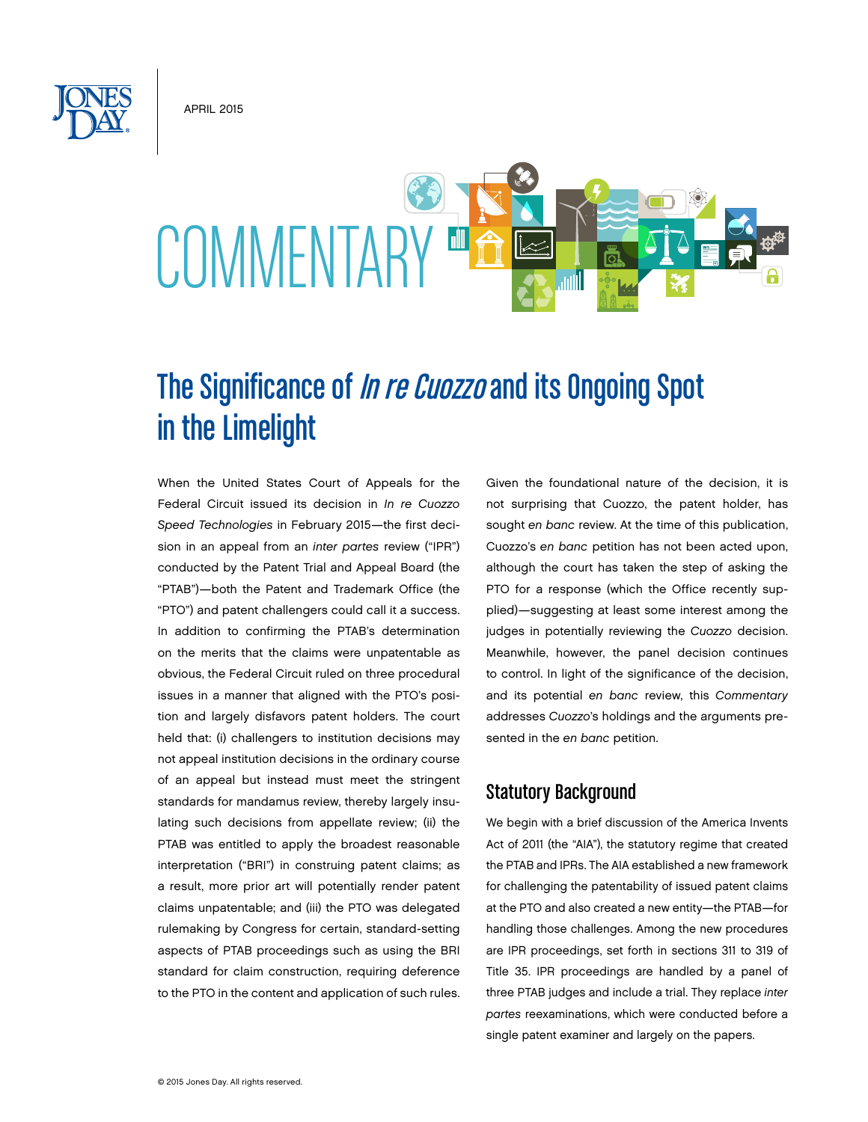APRIL 2015

# **COMMENTARY**

# The Significance of *In re Cuozzo* and its Ongoing Spot in the Limelight

When the United States Court of Appeals for the Federal Circuit issued its decision in *In re Cuozzo Speed Technologies* in February 2015—the first decision in an appeal from an *inter partes* review ("IPR") conducted by the Patent Trial and Appeal Board (the "PTAB")—both the Patent and Trademark Office (the "PTO") and patent challengers could call it a success. In addition to confirming the PTAB's determination on the merits that the claims were unpatentable as obvious, the Federal Circuit ruled on three procedural issues in a manner that aligned with the PTO's position and largely disfavors patent holders. The court held that: (i) challengers to institution decisions may not appeal institution decisions in the ordinary course of an appeal but instead must meet the stringent standards for mandamus review, thereby largely insulating such decisions from appellate review; (ii) the PTAB was entitled to apply the broadest reasonable interpretation ("BRI") in construing patent claims; as a result, more prior art will potentially render patent claims unpatentable; and (iii) the PTO was delegated rulemaking by Congress for certain, standard-setting aspects of PTAB proceedings such as using the BRI standard for claim construction, requiring deference to the PTO in the content and application of such rules.

Given the foundational nature of the decision, it is not surprising that Cuozzo, the patent holder, has sought *en banc* review. At the time of this publication, Cuozzo's *en banc* petition has not been acted upon, although the court has taken the step of asking the PTO for a response (which the Office recently supplied)—suggesting at least some interest among the judges in potentially reviewing the *Cuozzo* decision. Meanwhile, however, the panel decision continues to control. In light of the significance of the decision, and its potential *en banc* review, this *Commentary* addresses *Cuozzo*'s holdings and the arguments presented in the *en banc* petition.

# Statutory Background

We begin with a brief discussion of the America Invents Act of 2011 (the "AIA"), the statutory regime that created the PTAB and IPRs. The AIA established a new framework for challenging the patentability of issued patent claims at the PTO and also created a new entity—the PTAB—for handling those challenges. Among the new procedures are IPR proceedings, set forth in sections 311 to 319 of Title 35. IPR proceedings are handled by a panel of three PTAB judges and include a trial. They replace *inter partes* reexaminations, which were conducted before a single patent examiner and largely on the papers.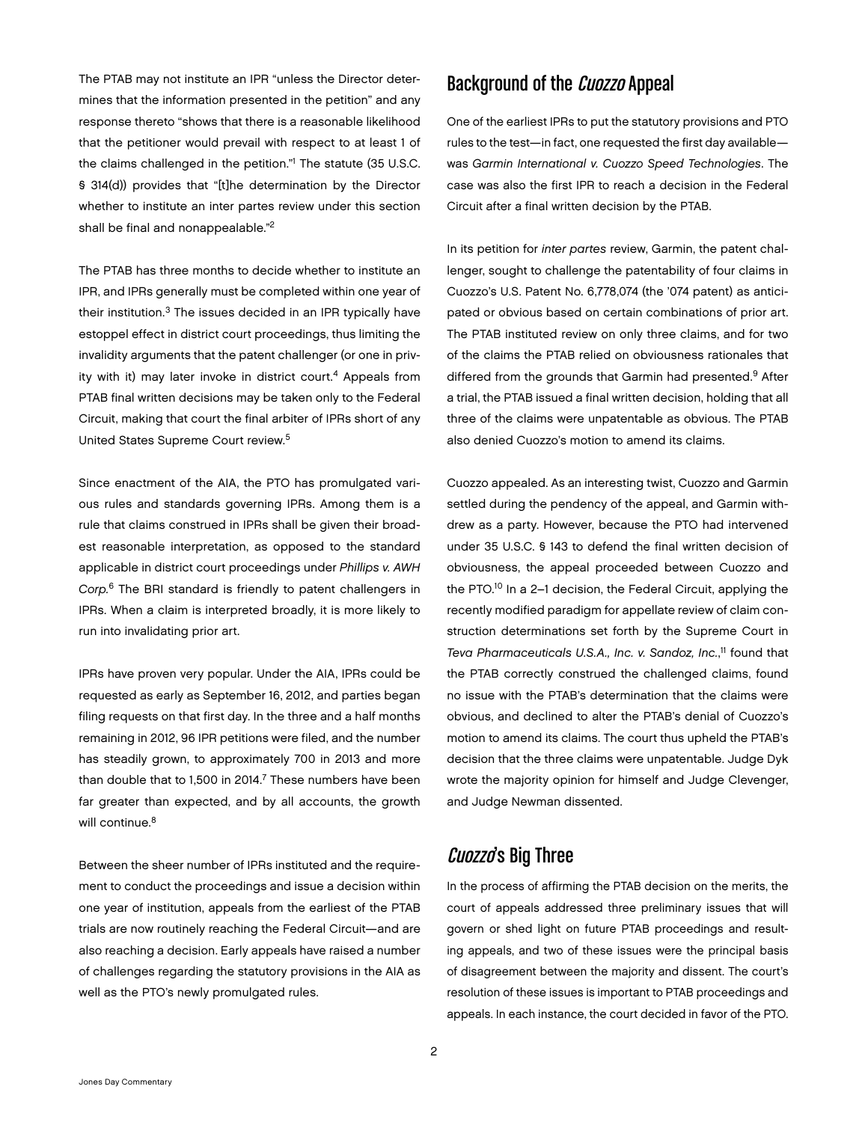The PTAB may not institute an IPR "unless the Director determines that the information presented in the petition" and any response thereto "shows that there is a reasonable likelihood that the petitioner would prevail with respect to at least 1 of the claims challenged in the petition."1 The statute (35 U.S.C. § 314(d)) provides that "[t]he determination by the Director whether to institute an inter partes review under this section shall be final and nonappealable."2

The PTAB has three months to decide whether to institute an IPR, and IPRs generally must be completed within one year of their institution.3 The issues decided in an IPR typically have estoppel effect in district court proceedings, thus limiting the invalidity arguments that the patent challenger (or one in privity with it) may later invoke in district court.<sup>4</sup> Appeals from PTAB final written decisions may be taken only to the Federal Circuit, making that court the final arbiter of IPRs short of any United States Supreme Court review.5

Since enactment of the AIA, the PTO has promulgated various rules and standards governing IPRs. Among them is a rule that claims construed in IPRs shall be given their broadest reasonable interpretation, as opposed to the standard applicable in district court proceedings under *Phillips v. AWH Corp.*6 The BRI standard is friendly to patent challengers in IPRs. When a claim is interpreted broadly, it is more likely to run into invalidating prior art.

IPRs have proven very popular. Under the AIA, IPRs could be requested as early as September 16, 2012, and parties began filing requests on that first day. In the three and a half months remaining in 2012, 96 IPR petitions were filed, and the number has steadily grown, to approximately 700 in 2013 and more than double that to 1,500 in 2014.<sup>7</sup> These numbers have been far greater than expected, and by all accounts, the growth will continue.<sup>8</sup>

Between the sheer number of IPRs instituted and the requirement to conduct the proceedings and issue a decision within one year of institution, appeals from the earliest of the PTAB trials are now routinely reaching the Federal Circuit—and are also reaching a decision. Early appeals have raised a number of challenges regarding the statutory provisions in the AIA as well as the PTO's newly promulgated rules.

## Background of the Cuozzo Appeal

One of the earliest IPRs to put the statutory provisions and PTO rules to the test—in fact, one requested the first day available was *Garmin International v. Cuozzo Speed Technologies*. The case was also the first IPR to reach a decision in the Federal Circuit after a final written decision by the PTAB.

In its petition for *inter partes* review, Garmin, the patent challenger, sought to challenge the patentability of four claims in Cuozzo's U.S. Patent No. 6,778,074 (the '074 patent) as anticipated or obvious based on certain combinations of prior art. The PTAB instituted review on only three claims, and for two of the claims the PTAB relied on obviousness rationales that differed from the grounds that Garmin had presented.<sup>9</sup> After a trial, the PTAB issued a final written decision, holding that all three of the claims were unpatentable as obvious. The PTAB also denied Cuozzo's motion to amend its claims.

Cuozzo appealed. As an interesting twist, Cuozzo and Garmin settled during the pendency of the appeal, and Garmin withdrew as a party. However, because the PTO had intervened under 35 U.S.C. § 143 to defend the final written decision of obviousness, the appeal proceeded between Cuozzo and the PTO.<sup>10</sup> In a 2-1 decision, the Federal Circuit, applying the recently modified paradigm for appellate review of claim construction determinations set forth by the Supreme Court in *Teva Pharmaceuticals U.S.A., Inc. v. Sandoz, Inc.*, 11 found that the PTAB correctly construed the challenged claims, found no issue with the PTAB's determination that the claims were obvious, and declined to alter the PTAB's denial of Cuozzo's motion to amend its claims. The court thus upheld the PTAB's decision that the three claims were unpatentable. Judge Dyk wrote the majority opinion for himself and Judge Clevenger, and Judge Newman dissented.

# Cuozzo's Big Three

In the process of affirming the PTAB decision on the merits, the court of appeals addressed three preliminary issues that will govern or shed light on future PTAB proceedings and resulting appeals, and two of these issues were the principal basis of disagreement between the majority and dissent. The court's resolution of these issues is important to PTAB proceedings and appeals. In each instance, the court decided in favor of the PTO.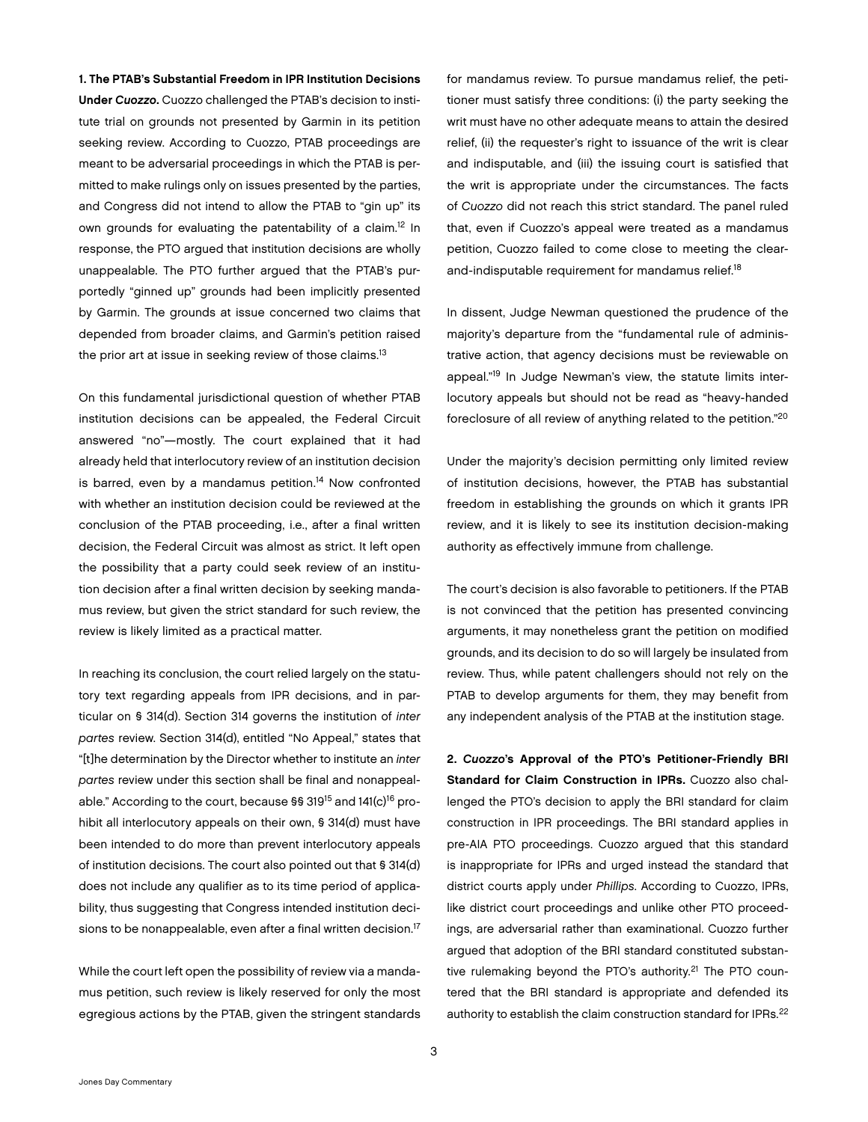1. The PTAB's Substantial Freedom in IPR Institution Decisions Under *Cuozzo*. Cuozzo challenged the PTAB's decision to institute trial on grounds not presented by Garmin in its petition seeking review. According to Cuozzo, PTAB proceedings are meant to be adversarial proceedings in which the PTAB is permitted to make rulings only on issues presented by the parties, and Congress did not intend to allow the PTAB to "gin up" its own grounds for evaluating the patentability of a claim.<sup>12</sup> In response, the PTO argued that institution decisions are wholly unappealable. The PTO further argued that the PTAB's purportedly "ginned up" grounds had been implicitly presented by Garmin. The grounds at issue concerned two claims that depended from broader claims, and Garmin's petition raised the prior art at issue in seeking review of those claims.<sup>13</sup>

On this fundamental jurisdictional question of whether PTAB institution decisions can be appealed, the Federal Circuit answered "no"—mostly. The court explained that it had already held that interlocutory review of an institution decision is barred, even by a mandamus petition.<sup>14</sup> Now confronted with whether an institution decision could be reviewed at the conclusion of the PTAB proceeding, i.e., after a final written decision, the Federal Circuit was almost as strict. It left open the possibility that a party could seek review of an institution decision after a final written decision by seeking mandamus review, but given the strict standard for such review, the review is likely limited as a practical matter.

In reaching its conclusion, the court relied largely on the statutory text regarding appeals from IPR decisions, and in particular on § 314(d). Section 314 governs the institution of *inter partes* review. Section 314(d), entitled "No Appeal," states that "[t]he determination by the Director whether to institute an *inter partes* review under this section shall be final and nonappealable." According to the court, because §§ 319<sup>15</sup> and 141(c)<sup>16</sup> prohibit all interlocutory appeals on their own, § 314(d) must have been intended to do more than prevent interlocutory appeals of institution decisions. The court also pointed out that § 314(d) does not include any qualifier as to its time period of applicability, thus suggesting that Congress intended institution decisions to be nonappealable, even after a final written decision.<sup>17</sup>

While the court left open the possibility of review via a mandamus petition, such review is likely reserved for only the most egregious actions by the PTAB, given the stringent standards

for mandamus review. To pursue mandamus relief, the petitioner must satisfy three conditions: (i) the party seeking the writ must have no other adequate means to attain the desired relief, (ii) the requester's right to issuance of the writ is clear and indisputable, and (iii) the issuing court is satisfied that the writ is appropriate under the circumstances. The facts of *Cuozzo* did not reach this strict standard. The panel ruled that, even if Cuozzo's appeal were treated as a mandamus petition, Cuozzo failed to come close to meeting the clearand-indisputable requirement for mandamus relief.<sup>18</sup>

In dissent, Judge Newman questioned the prudence of the majority's departure from the "fundamental rule of administrative action, that agency decisions must be reviewable on appeal."<sup>19</sup> In Judge Newman's view, the statute limits interlocutory appeals but should not be read as "heavy-handed foreclosure of all review of anything related to the petition."20

Under the majority's decision permitting only limited review of institution decisions, however, the PTAB has substantial freedom in establishing the grounds on which it grants IPR review, and it is likely to see its institution decision-making authority as effectively immune from challenge.

The court's decision is also favorable to petitioners. If the PTAB is not convinced that the petition has presented convincing arguments, it may nonetheless grant the petition on modified grounds, and its decision to do so will largely be insulated from review. Thus, while patent challengers should not rely on the PTAB to develop arguments for them, they may benefit from any independent analysis of the PTAB at the institution stage.

2. *Cuozzo*'s Approval of the PTO's Petitioner-Friendly BRI Standard for Claim Construction in IPRs. Cuozzo also challenged the PTO's decision to apply the BRI standard for claim construction in IPR proceedings. The BRI standard applies in pre-AIA PTO proceedings. Cuozzo argued that this standard is inappropriate for IPRs and urged instead the standard that district courts apply under *Phillips*. According to Cuozzo, IPRs, like district court proceedings and unlike other PTO proceedings, are adversarial rather than examinational. Cuozzo further argued that adoption of the BRI standard constituted substantive rulemaking beyond the PTO's authority.<sup>21</sup> The PTO countered that the BRI standard is appropriate and defended its authority to establish the claim construction standard for IPRs.<sup>22</sup>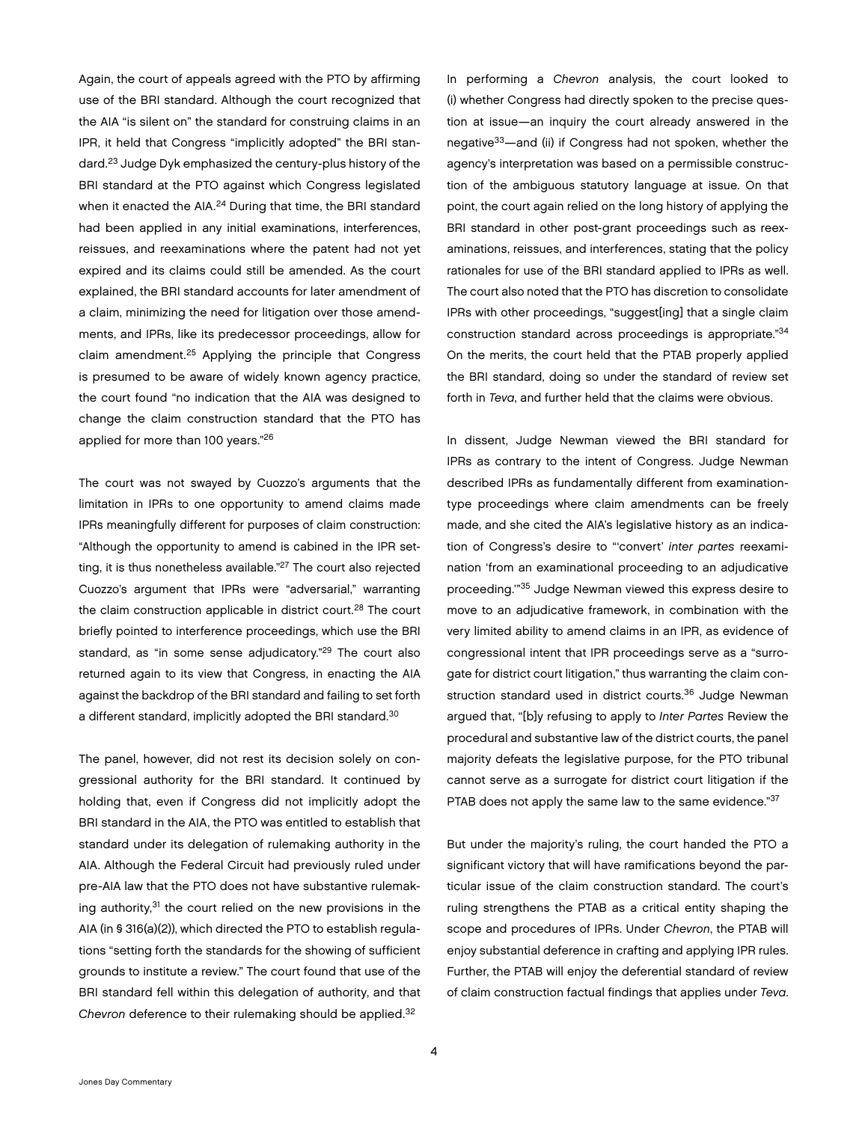Again, the court of appeals agreed with the PTO by affirming use of the BRI standard. Although the court recognized that the AIA "is silent on" the standard for construing claims in an IPR, it held that Congress "implicitly adopted" the BRI standard.23 Judge Dyk emphasized the century-plus history of the BRI standard at the PTO against which Congress legislated when it enacted the AIA.<sup>24</sup> During that time, the BRI standard had been applied in any initial examinations, interferences, reissues, and reexaminations where the patent had not yet expired and its claims could still be amended. As the court explained, the BRI standard accounts for later amendment of a claim, minimizing the need for litigation over those amendments, and IPRs, like its predecessor proceedings, allow for claim amendment.25 Applying the principle that Congress is presumed to be aware of widely known agency practice, the court found "no indication that the AIA was designed to change the claim construction standard that the PTO has applied for more than 100 years."26

The court was not swayed by Cuozzo's arguments that the limitation in IPRs to one opportunity to amend claims made IPRs meaningfully different for purposes of claim construction: "Although the opportunity to amend is cabined in the IPR setting, it is thus nonetheless available."<sup>27</sup> The court also rejected Cuozzo's argument that IPRs were "adversarial," warranting the claim construction applicable in district court.<sup>28</sup> The court briefly pointed to interference proceedings, which use the BRI standard, as "in some sense adjudicatory."<sup>29</sup> The court also returned again to its view that Congress, in enacting the AIA against the backdrop of the BRI standard and failing to set forth a different standard, implicitly adopted the BRI standard.<sup>30</sup>

The panel, however, did not rest its decision solely on congressional authority for the BRI standard. It continued by holding that, even if Congress did not implicitly adopt the BRI standard in the AIA, the PTO was entitled to establish that standard under its delegation of rulemaking authority in the AIA. Although the Federal Circuit had previously ruled under pre-AIA law that the PTO does not have substantive rulemaking authority, $31$  the court relied on the new provisions in the AIA (in § 316(a)(2)), which directed the PTO to establish regulations "setting forth the standards for the showing of sufficient grounds to institute a review." The court found that use of the BRI standard fell within this delegation of authority, and that *Chevron* deference to their rulemaking should be applied.32

In performing a *Chevron* analysis, the court looked to (i) whether Congress had directly spoken to the precise question at issue—an inquiry the court already answered in the negative33—and (ii) if Congress had not spoken, whether the agency's interpretation was based on a permissible construction of the ambiguous statutory language at issue. On that point, the court again relied on the long history of applying the BRI standard in other post-grant proceedings such as reexaminations, reissues, and interferences, stating that the policy rationales for use of the BRI standard applied to IPRs as well. The court also noted that the PTO has discretion to consolidate IPRs with other proceedings, "suggest[ing] that a single claim construction standard across proceedings is appropriate."<sup>34</sup> On the merits, the court held that the PTAB properly applied the BRI standard, doing so under the standard of review set forth in *Teva*, and further held that the claims were obvious.

In dissent, Judge Newman viewed the BRI standard for IPRs as contrary to the intent of Congress. Judge Newman described IPRs as fundamentally different from examinationtype proceedings where claim amendments can be freely made, and she cited the AIA's legislative history as an indication of Congress's desire to "'convert' *inter partes* reexamination 'from an examinational proceeding to an adjudicative proceeding.'"35 Judge Newman viewed this express desire to move to an adjudicative framework, in combination with the very limited ability to amend claims in an IPR, as evidence of congressional intent that IPR proceedings serve as a "surrogate for district court litigation," thus warranting the claim construction standard used in district courts.<sup>36</sup> Judge Newman argued that, "[b]y refusing to apply to *Inter Partes* Review the procedural and substantive law of the district courts, the panel majority defeats the legislative purpose, for the PTO tribunal cannot serve as a surrogate for district court litigation if the PTAB does not apply the same law to the same evidence."37

But under the majority's ruling, the court handed the PTO a significant victory that will have ramifications beyond the particular issue of the claim construction standard. The court's ruling strengthens the PTAB as a critical entity shaping the scope and procedures of IPRs. Under *Chevron*, the PTAB will enjoy substantial deference in crafting and applying IPR rules. Further, the PTAB will enjoy the deferential standard of review of claim construction factual findings that applies under *Teva*.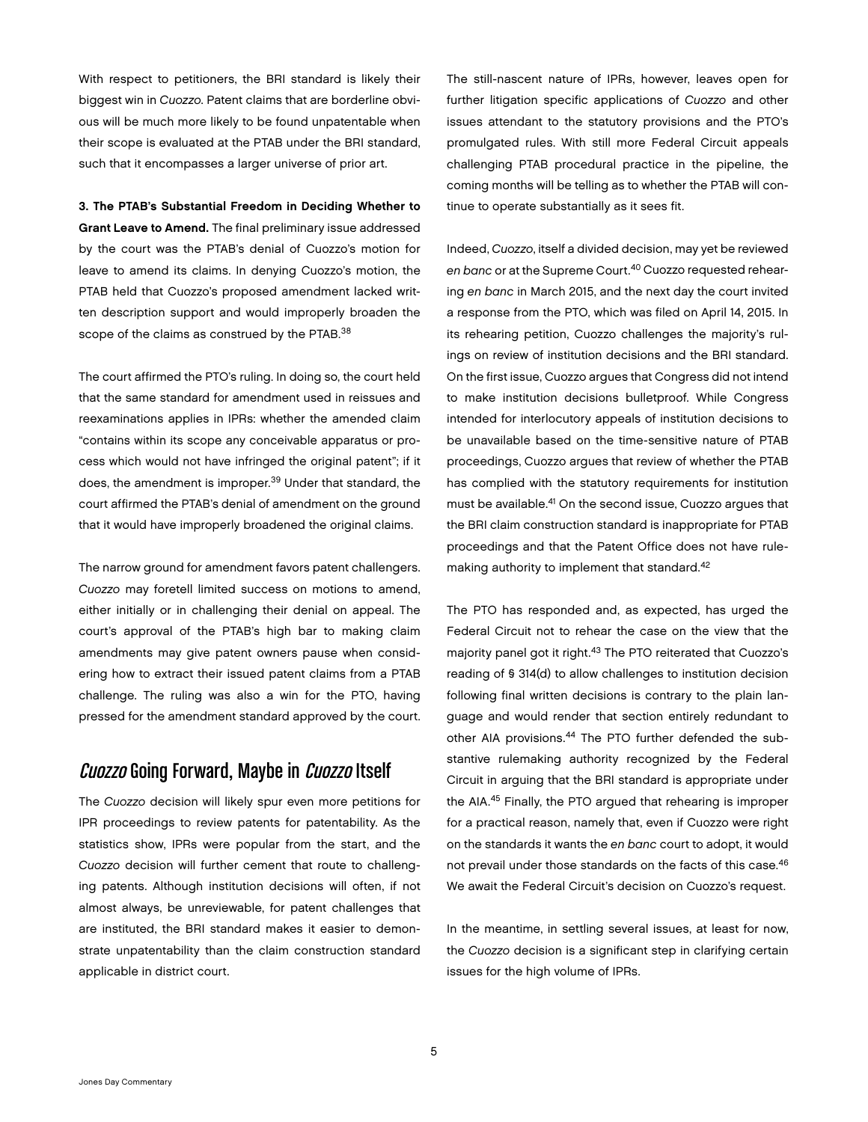With respect to petitioners, the BRI standard is likely their biggest win in *Cuozzo*. Patent claims that are borderline obvious will be much more likely to be found unpatentable when their scope is evaluated at the PTAB under the BRI standard, such that it encompasses a larger universe of prior art.

3. The PTAB's Substantial Freedom in Deciding Whether to Grant Leave to Amend. The final preliminary issue addressed by the court was the PTAB's denial of Cuozzo's motion for leave to amend its claims. In denying Cuozzo's motion, the PTAB held that Cuozzo's proposed amendment lacked written description support and would improperly broaden the scope of the claims as construed by the PTAB.<sup>38</sup>

The court affirmed the PTO's ruling. In doing so, the court held that the same standard for amendment used in reissues and reexaminations applies in IPRs: whether the amended claim "contains within its scope any conceivable apparatus or process which would not have infringed the original patent"; if it does, the amendment is improper.<sup>39</sup> Under that standard, the court affirmed the PTAB's denial of amendment on the ground that it would have improperly broadened the original claims.

The narrow ground for amendment favors patent challengers. *Cuozzo* may foretell limited success on motions to amend, either initially or in challenging their denial on appeal. The court's approval of the PTAB's high bar to making claim amendments may give patent owners pause when considering how to extract their issued patent claims from a PTAB challenge. The ruling was also a win for the PTO, having pressed for the amendment standard approved by the court.

### Cuozzo Going Forward, Maybe in Cuozzo Itself

The *Cuozzo* decision will likely spur even more petitions for IPR proceedings to review patents for patentability. As the statistics show, IPRs were popular from the start, and the *Cuozzo* decision will further cement that route to challenging patents. Although institution decisions will often, if not almost always, be unreviewable, for patent challenges that are instituted, the BRI standard makes it easier to demonstrate unpatentability than the claim construction standard applicable in district court.

The still-nascent nature of IPRs, however, leaves open for further litigation specific applications of *Cuozzo* and other issues attendant to the statutory provisions and the PTO's promulgated rules. With still more Federal Circuit appeals challenging PTAB procedural practice in the pipeline, the coming months will be telling as to whether the PTAB will continue to operate substantially as it sees fit.

Indeed, *Cuozzo*, itself a divided decision, may yet be reviewed *en banc* or at the Supreme Court.40 Cuozzo requested rehearing *en banc* in March 2015, and the next day the court invited a response from the PTO, which was filed on April 14, 2015. In its rehearing petition, Cuozzo challenges the majority's rulings on review of institution decisions and the BRI standard. On the first issue, Cuozzo argues that Congress did not intend to make institution decisions bulletproof. While Congress intended for interlocutory appeals of institution decisions to be unavailable based on the time-sensitive nature of PTAB proceedings, Cuozzo argues that review of whether the PTAB has complied with the statutory requirements for institution must be available.<sup>41</sup> On the second issue, Cuozzo argues that the BRI claim construction standard is inappropriate for PTAB proceedings and that the Patent Office does not have rulemaking authority to implement that standard.<sup>42</sup>

The PTO has responded and, as expected, has urged the Federal Circuit not to rehear the case on the view that the majority panel got it right.43 The PTO reiterated that Cuozzo's reading of § 314(d) to allow challenges to institution decision following final written decisions is contrary to the plain language and would render that section entirely redundant to other AIA provisions.<sup>44</sup> The PTO further defended the substantive rulemaking authority recognized by the Federal Circuit in arguing that the BRI standard is appropriate under the AIA.45 Finally, the PTO argued that rehearing is improper for a practical reason, namely that, even if Cuozzo were right on the standards it wants the *en banc* court to adopt, it would not prevail under those standards on the facts of this case.<sup>46</sup> We await the Federal Circuit's decision on Cuozzo's request.

In the meantime, in settling several issues, at least for now, the *Cuozzo* decision is a significant step in clarifying certain issues for the high volume of IPRs.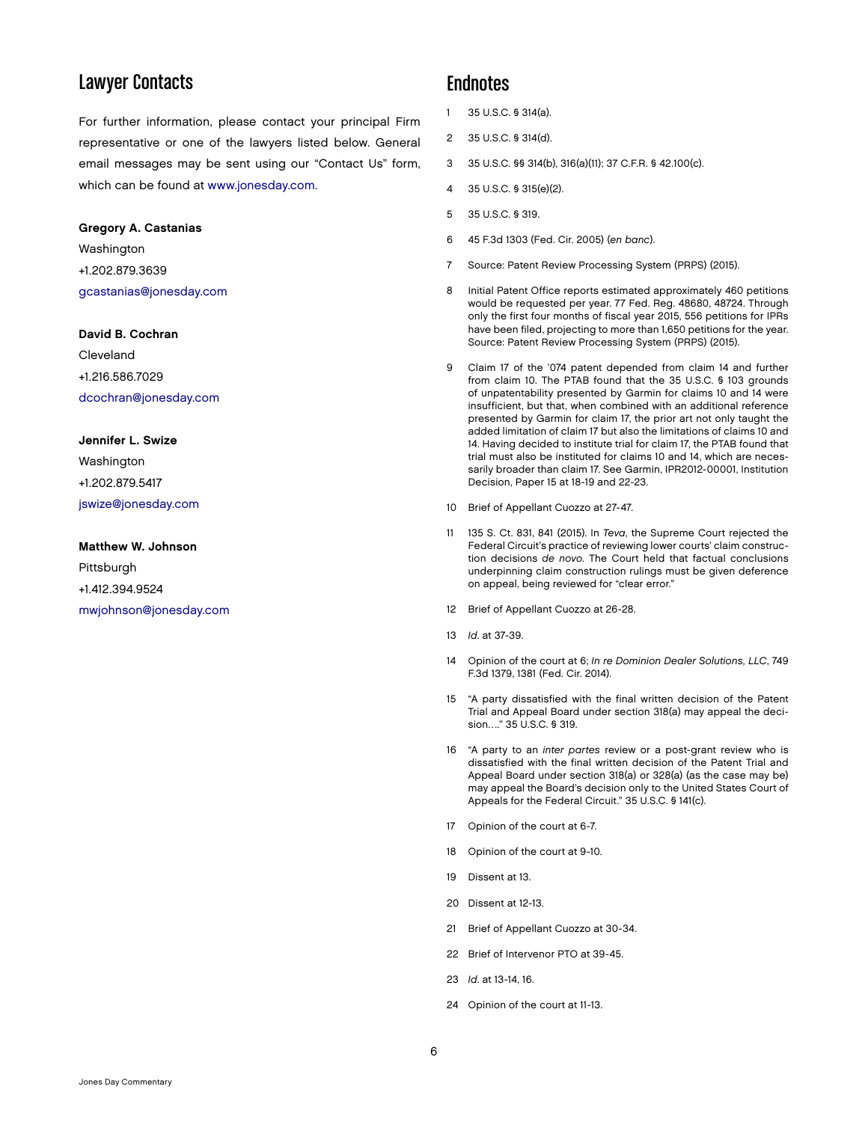### Lawyer Contacts

For further information, please contact your principal Firm representative or one of the lawyers listed below. General email messages may be sent using our "Contact Us" form, which can be found at [www.jonesday.com.](http://www.jonesday.com)

#### Gregory A. Castanias

Washington +1.202.879.3639 [gcastanias@jonesday.com](mailto:gcastanias@jonesday.com)

#### David B. Cochran

Cleveland +1.216.586.7029 [dcochran@jonesday.com](mailto:dcochran@jonesday.com)

#### Jennifer L. Swize

Washington +1.202.879.5417 [jswize@jonesday.com](mailto:jswize@jonesday.com)

#### Matthew W. Johnson

Pittsburgh +1.412.394.9524 [mwjohnson@jonesday.com](mailto:mwjohnson@jonesday.com)

#### **Endnotes**

- 1 35 U.S.C. § 314(a).
- 2 35 U.S.C. § 314(d).
- 3 35 U.S.C. §§ 314(b), 316(a)(11); 37 C.F.R. § 42.100(c).
- 4 35 U.S.C. § 315(e)(2).
- 5 35 U.S.C. § 319.
- 6 45 F.3d 1303 (Fed. Cir. 2005) (*en banc*).
- 7 Source: Patent Review Processing System (PRPS) (2015).
- 8 Initial Patent Office reports estimated approximately 460 petitions would be requested per year. 77 Fed. Reg. 48680, 48724. Through only the first four months of fiscal year 2015, 556 petitions for IPRs have been filed, projecting to more than 1,650 petitions for the year. Source: Patent Review Processing System (PRPS) (2015).
- 9 Claim 17 of the '074 patent depended from claim 14 and further from claim 10. The PTAB found that the 35 U.S.C. § 103 grounds of unpatentability presented by Garmin for claims 10 and 14 were insufficient, but that, when combined with an additional reference presented by Garmin for claim 17, the prior art not only taught the added limitation of claim 17 but also the limitations of claims 10 and 14. Having decided to institute trial for claim 17, the PTAB found that trial must also be instituted for claims 10 and 14, which are necessarily broader than claim 17. See Garmin, IPR2012-00001, Institution Decision, Paper 15 at 18-19 and 22-23.
- 10 Brief of Appellant Cuozzo at 27-47.
- 11 135 S. Ct. 831, 841 (2015). In *Teva*, the Supreme Court rejected the Federal Circuit's practice of reviewing lower courts' claim construction decisions *de novo*. The Court held that factual conclusions underpinning claim construction rulings must be given deference on appeal, being reviewed for "clear error."
- 12 Brief of Appellant Cuozzo at 26-28.
- 13 *Id*. at 37-39.
- 14 Opinion of the court at 6; *In re Dominion Dealer Solutions, LLC*, 749 F.3d 1379, 1381 (Fed. Cir. 2014).
- 15 "A party dissatisfied with the final written decision of the Patent Trial and Appeal Board under section 318(a) may appeal the decision…." 35 U.S.C. § 319.
- 16 "A party to an *inter partes* review or a post-grant review who is dissatisfied with the final written decision of the Patent Trial and Appeal Board under section 318(a) or 328(a) (as the case may be) may appeal the Board's decision only to the United States Court of Appeals for the Federal Circuit." 35 U.S.C. § 141(c).
- 17 Opinion of the court at 6-7.
- 18 Opinion of the court at 9-10.
- 19 Dissent at 13.
- 20 Dissent at 12-13.
- 21 Brief of Appellant Cuozzo at 30-34.
- 22 Brief of Intervenor PTO at 39-45.
- 23 *Id*. at 13-14, 16.
- 24 Opinion of the court at 11-13.

6